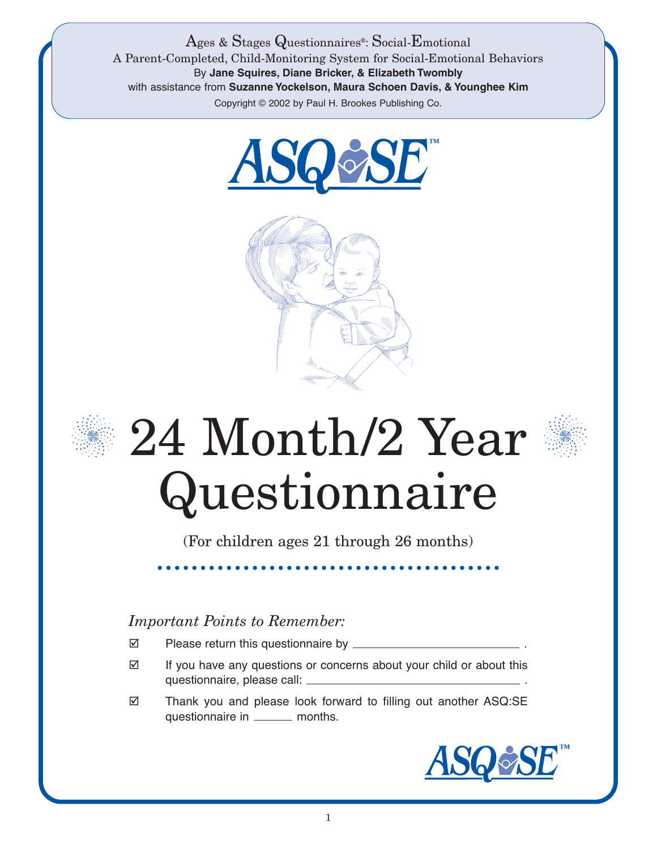Ages & Stages Questionnaires®: Social-Emotional A Parent-Completed, Child-Monitoring System for Social-Emotional Behaviors By **Jane Squires, Diane Bricker, & Elizabeth Twombly** with assistance from **Suzanne Yockelson, Maura Schoen Davis, & Younghee Kim** Copyright © 2002 by Paul H. Brookes Publishing Co.







## 24 Month/2 Year Questionnaire

(For children ages 21 through 26 months)

## *Important Points to Remember:*

- Please return this questionnaire by \_\_\_\_\_\_\_\_\_
- $\boxtimes$  If you have any questions or concerns about your child or about this questionnaire, please call: .
- Thank you and please look forward to filling out another ASQ:SE questionnaire in \_\_\_\_\_\_\_ months.

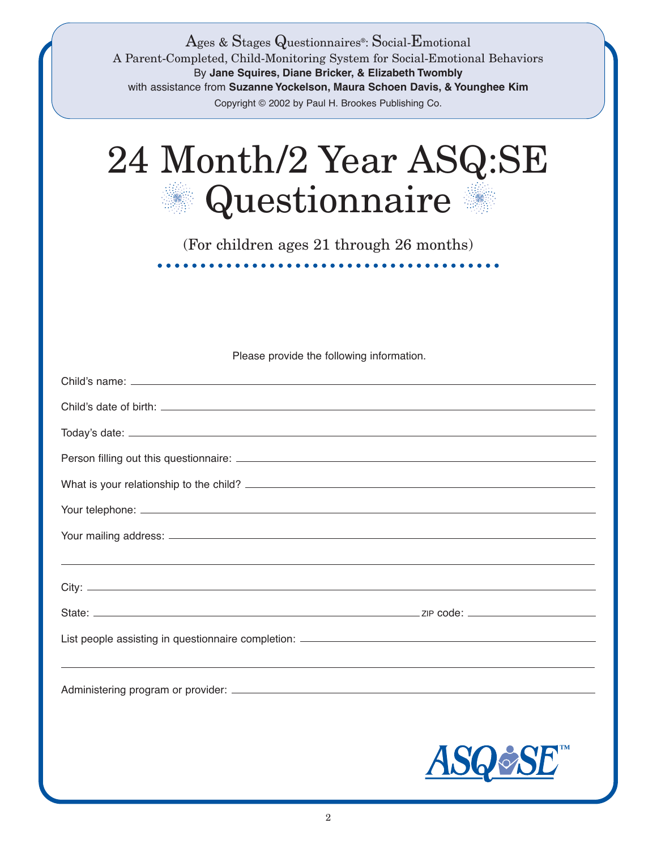| Ages & Stages Questionnaires <sup>®</sup> : Social-Emotional<br>A Parent-Completed, Child-Monitoring System for Social-Emotional Behaviors<br>By Jane Squires, Diane Bricker, & Elizabeth Twombly<br>with assistance from Suzanne Yockelson, Maura Schoen Davis, & Younghee Kim<br>Copyright © 2002 by Paul H. Brookes Publishing Co. |
|---------------------------------------------------------------------------------------------------------------------------------------------------------------------------------------------------------------------------------------------------------------------------------------------------------------------------------------|
| 24 Month/2 Year ASQ:SE<br>Questionnaire                                                                                                                                                                                                                                                                                               |
| (For children ages 21 through 26 months)                                                                                                                                                                                                                                                                                              |
| .                                                                                                                                                                                                                                                                                                                                     |
|                                                                                                                                                                                                                                                                                                                                       |
| Please provide the following information.                                                                                                                                                                                                                                                                                             |
|                                                                                                                                                                                                                                                                                                                                       |
|                                                                                                                                                                                                                                                                                                                                       |
|                                                                                                                                                                                                                                                                                                                                       |
|                                                                                                                                                                                                                                                                                                                                       |
|                                                                                                                                                                                                                                                                                                                                       |
|                                                                                                                                                                                                                                                                                                                                       |
|                                                                                                                                                                                                                                                                                                                                       |
|                                                                                                                                                                                                                                                                                                                                       |
|                                                                                                                                                                                                                                                                                                                                       |
|                                                                                                                                                                                                                                                                                                                                       |
|                                                                                                                                                                                                                                                                                                                                       |
|                                                                                                                                                                                                                                                                                                                                       |
|                                                                                                                                                                                                                                                                                                                                       |
| ASOØSE                                                                                                                                                                                                                                                                                                                                |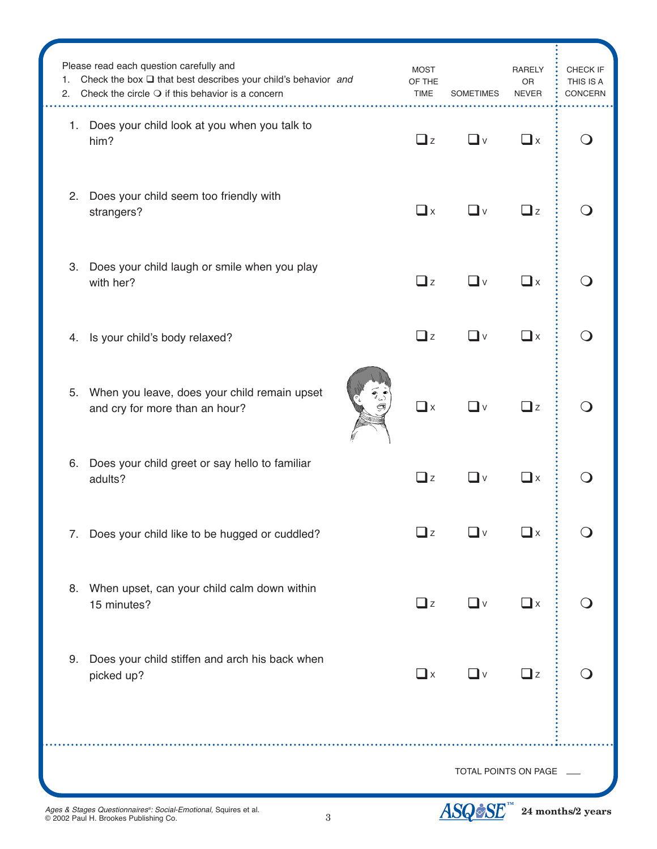| 1.<br>2. | Please read each question carefully and<br>Check the box $\Box$ that best describes your child's behavior and<br>Check the circle $\bigcirc$ if this behavior is a concern | <b>MOST</b><br>OF THE<br><b>TIME</b> | <b>SOMETIMES</b> | <b>RARELY</b><br><b>OR</b><br><b>NEVER</b> | CHECK IF<br>THIS IS A<br><b>CONCERN</b> |
|----------|----------------------------------------------------------------------------------------------------------------------------------------------------------------------------|--------------------------------------|------------------|--------------------------------------------|-----------------------------------------|
|          | 1. Does your child look at you when you talk to<br>him?                                                                                                                    | $\Box$ z                             | ❏ⅴ               | $\Box$ x                                   |                                         |
| 2.       | Does your child seem too friendly with<br>strangers?                                                                                                                       | $\Box$ x                             | ∟v               | $\Box$ z                                   |                                         |
| 3.       | Does your child laugh or smile when you play<br>with her?                                                                                                                  | $\Box$ z                             | ∐v               | $\square$ x                                |                                         |
| 4.       | Is your child's body relaxed?                                                                                                                                              | $\Box$ z                             | ❏ⅴ               | $\square$ x                                |                                         |
| 5.       | When you leave, does your child remain upset<br>and cry for more than an hour?                                                                                             | $\Box$ x                             | _l ∨             | $\beth$ z                                  |                                         |
| 6.       | Does your child greet or say hello to familiar<br>adults?                                                                                                                  | $\square$ z                          | 』∨               | $\mathbf{\mathbf{\mathsf{u}}}$             |                                         |
|          | 7. Does your child like to be hugged or cuddled?                                                                                                                           | $\Box$ z                             | ❏∨               | $\Box$ x                                   |                                         |
|          | 8. When upset, can your child calm down within<br>15 minutes?                                                                                                              | $\Box$ z                             | ❏ⅴ               | $\Box$ x                                   |                                         |
| 9.       | Does your child stiffen and arch his back when<br>picked up?                                                                                                               | $\Box$ x                             | $\Box$ v         | $\Box$ z                                   |                                         |
|          | TOTAL POINTS ON PAGE                                                                                                                                                       |                                      |                  |                                            |                                         |

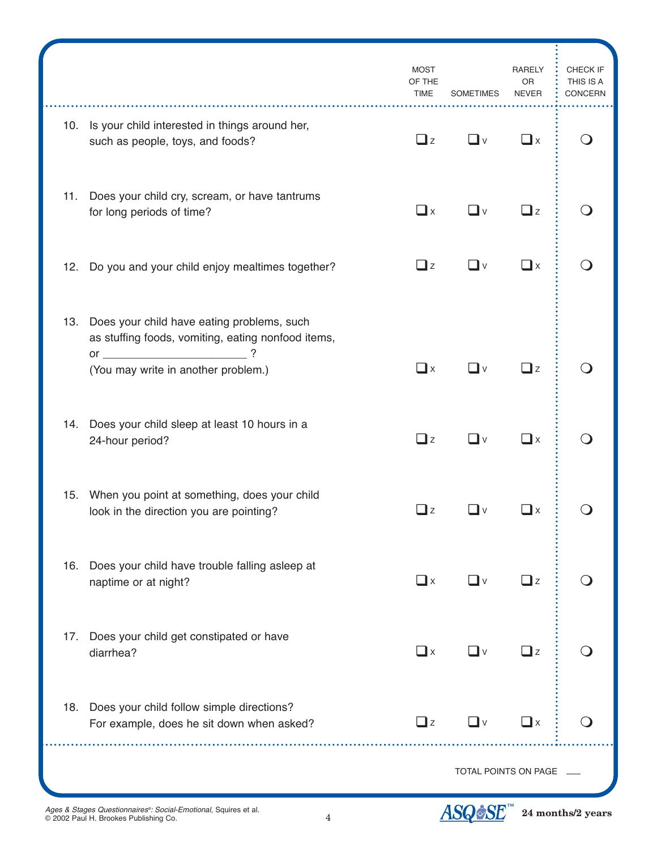|     |                                                                                                                                                          | <b>MOST</b><br>OF THE<br><b>TIME</b> | <b>SOMETIMES</b> | <b>RARELY</b><br><b>OR</b><br><b>NEVER</b> | CHECK IF<br>THIS IS A<br>CONCERN |
|-----|----------------------------------------------------------------------------------------------------------------------------------------------------------|--------------------------------------|------------------|--------------------------------------------|----------------------------------|
|     | 10. Is your child interested in things around her,<br>such as people, toys, and foods?                                                                   | $\Box$ z                             | ∐∨               | $\Box$ x                                   |                                  |
| 11. | Does your child cry, scream, or have tantrums<br>for long periods of time?                                                                               | $\Box$ x                             | $\mathsf{v}$     | $\Box$ z                                   |                                  |
|     | 12. Do you and your child enjoy mealtimes together?                                                                                                      | $\Box$ z                             | —l ∨             | $\square$ x                                |                                  |
|     | 13. Does your child have eating problems, such<br>as stuffing foods, vomiting, eating nonfood items,<br>$\overline{\text{or}}$ $\overline{\text{}}$<br>? |                                      |                  |                                            |                                  |
|     | (You may write in another problem.)                                                                                                                      | $\square$ x                          | –l ∨             | $\square$ z                                |                                  |
|     | 14. Does your child sleep at least 10 hours in a<br>24-hour period?                                                                                      | $\Box$ z                             | _l v             | $\square$ x                                |                                  |
|     | 15. When you point at something, does your child<br>look in the direction you are pointing?                                                              | $\sqcup$ z                           | 』∨               | –l ×                                       |                                  |
| 16. | Does your child have trouble falling asleep at<br>naptime or at night?                                                                                   | $\Box$ x                             | —l ∨             | $\Box$ z                                   |                                  |
| 17. | Does your child get constipated or have<br>diarrhea?                                                                                                     | $\Box$ x                             | $\Box$ v         | $\Box$ z                                   |                                  |
|     | 18. Does your child follow simple directions?<br>For example, does he sit down when asked?                                                               | $\Box$ z                             | —l ∨             | $\square$ x                                |                                  |
|     |                                                                                                                                                          | TOTAL POINTS ON PAGE                 |                  |                                            |                                  |

4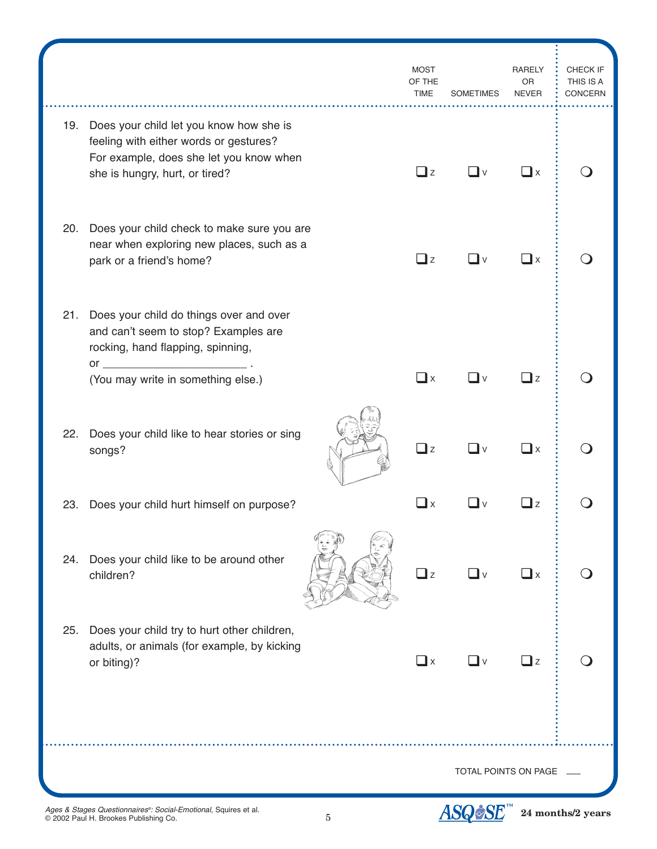|     |                                                                                                                                                                | <b>MOST</b><br>OF THE<br><b>TIME</b>         | <b>SOMETIMES</b> | <b>RARELY</b><br><b>OR</b><br><b>NEVER</b> | CHECK IF<br>THIS IS A<br>CONCERN |
|-----|----------------------------------------------------------------------------------------------------------------------------------------------------------------|----------------------------------------------|------------------|--------------------------------------------|----------------------------------|
| 19. | Does your child let you know how she is<br>feeling with either words or gestures?<br>For example, does she let you know when<br>she is hungry, hurt, or tired? | $\Box$ z                                     | _l ∨             | ∐x                                         |                                  |
| 20. | Does your child check to make sure you are<br>near when exploring new places, such as a<br>park or a friend's home?                                            | $\Box$ z                                     | _l v             | ∐x                                         |                                  |
| 21. | Does your child do things over and over<br>and can't seem to stop? Examples are<br>rocking, hand flapping, spinning,                                           |                                              |                  |                                            |                                  |
|     | (You may write in something else.)                                                                                                                             | $\Box$ x                                     | _l v             | $\Box$ z                                   |                                  |
| 22. | Does your child like to hear stories or sing<br>songs?                                                                                                         | $\Box$ z                                     | – II ∨           | $\square$ x                                |                                  |
| 23. | Does your child hurt himself on purpose?                                                                                                                       | $\mathbf{\mathbf{\mathsf{\underline{u}}}}$ x |                  | ⊿z                                         |                                  |
| 24. | Does your child like to be around other<br>children?                                                                                                           | $\Box$ z                                     | ∐∨               | $\square$ x                                |                                  |
| 25. | Does your child try to hurt other children,<br>adults, or animals (for example, by kicking<br>or biting)?                                                      | $\Box$ x                                     | —l ∨             | $\Box$ z                                   |                                  |
|     |                                                                                                                                                                |                                              |                  |                                            |                                  |
|     | TOTAL POINTS ON PAGE                                                                                                                                           |                                              |                  |                                            |                                  |
|     |                                                                                                                                                                |                                              |                  |                                            |                                  |

5